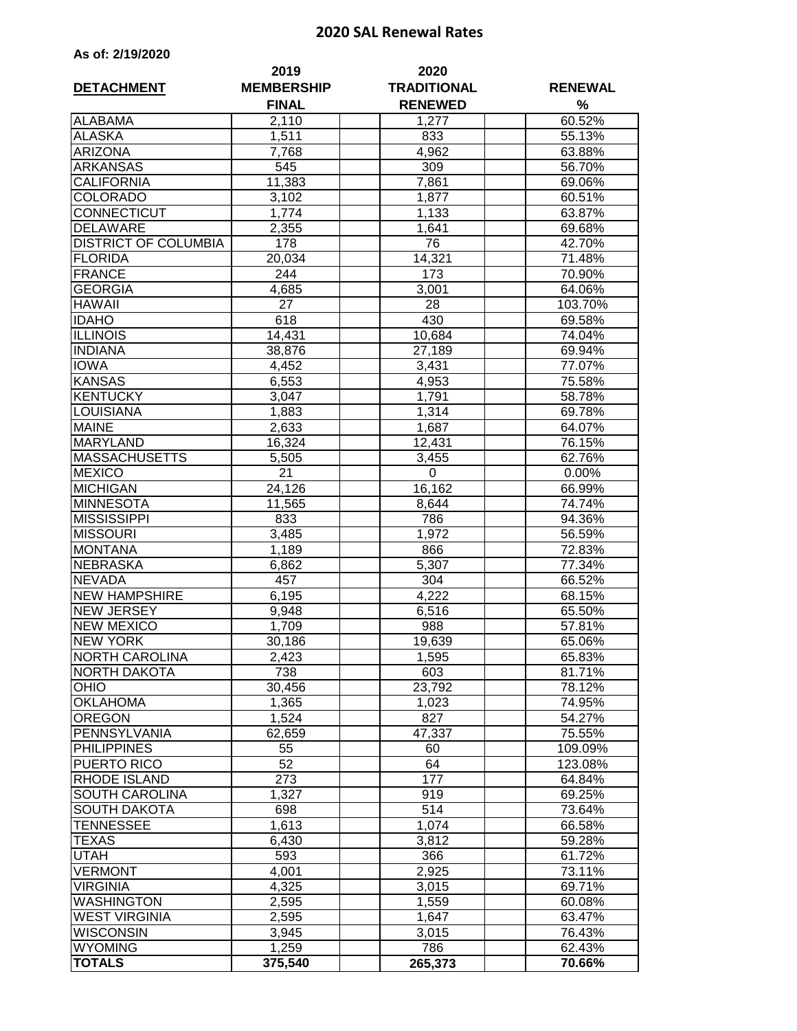## **2020 SAL Renewal Rates**

| As of: 2/19/2020 |  |
|------------------|--|
|                  |  |

| <b>DETACHMENT</b>           | 2019<br><b>MEMBERSHIP</b><br><b>FINAL</b> | 2020<br><b>TRADITIONAL</b><br><b>RENEWED</b> | <b>RENEWAL</b><br>% |  |
|-----------------------------|-------------------------------------------|----------------------------------------------|---------------------|--|
| <b>ALABAMA</b>              | 2,110                                     | 1,277                                        | 60.52%              |  |
| <b>ALASKA</b>               | 1,511                                     | 833                                          | 55.13%              |  |
| <b>ARIZONA</b>              | 7,768                                     | 4,962                                        | 63.88%              |  |
| <b>ARKANSAS</b>             | 545                                       | 309                                          | 56.70%              |  |
| <b>CALIFORNIA</b>           | 11,383                                    | 7,861                                        | 69.06%              |  |
| <b>COLORADO</b>             | 3,102                                     | 1,877                                        | 60.51%              |  |
| <b>CONNECTICUT</b>          | 1,774                                     | 1,133                                        | 63.87%              |  |
| <b>DELAWARE</b>             | 2,355                                     | 1,641                                        | 69.68%              |  |
| <b>DISTRICT OF COLUMBIA</b> | 178                                       | 76                                           | 42.70%              |  |
| <b>FLORIDA</b>              | 20,034                                    | 14,321                                       | 71.48%              |  |
| FRANCE                      | 244                                       | 173                                          | 70.90%              |  |
| <b>GEORGIA</b>              | 4,685                                     | 3,001                                        | 64.06%              |  |
| <b>HAWAII</b>               | 27                                        | 28                                           | 103.70%             |  |
| <b>IDAHO</b>                | 618                                       | 430                                          | 69.58%              |  |
| <b>ILLINOIS</b>             | 14,431                                    | 10,684                                       | 74.04%              |  |
| <b>INDIANA</b>              | 38,876                                    | 27,189                                       | 69.94%              |  |
| <b>IOWA</b>                 | 4,452                                     | 3,431                                        | 77.07%              |  |
| <b>KANSAS</b>               | 6,553                                     | 4,953                                        | 75.58%              |  |
| KENTUCKY                    | 3,047                                     | 1,791                                        | 58.78%              |  |
| <b>LOUISIANA</b>            | 1,883                                     | 1,314                                        | 69.78%              |  |
| <b>MAINE</b>                | 2,633                                     | 1,687                                        | 64.07%              |  |
| <b>MARYLAND</b>             | 16,324                                    | 12,431                                       | 76.15%              |  |
| <b>MASSACHUSETTS</b>        | 5,505                                     | 3,455                                        | 62.76%              |  |
| <b>MEXICO</b>               | 21                                        | 0                                            | 0.00%               |  |
| <b>MICHIGAN</b>             | 24,126                                    | 16,162                                       | 66.99%              |  |
| <b>MINNESOTA</b>            | 11,565                                    | 8,644                                        | 74.74%              |  |
| <b>MISSISSIPPI</b>          | 833                                       | 786                                          | 94.36%              |  |
| <b>MISSOURI</b>             | 3,485                                     | 1,972                                        | 56.59%              |  |
| <b>MONTANA</b>              | 1,189                                     | 866                                          | 72.83%              |  |
| <b>NEBRASKA</b>             | 6,862                                     | 5,307                                        | 77.34%              |  |
| <b>NEVADA</b>               | 457                                       | 304                                          | 66.52%              |  |
| <b>NEW HAMPSHIRE</b>        | 6,195                                     | 4,222                                        | 68.15%              |  |
| <b>NEW JERSEY</b>           | 9,948                                     | 6,516                                        | 65.50%              |  |
| <b>NEW MEXICO</b>           | 1,709                                     | 988                                          | $57.81\%$           |  |
| <b>NEW YORK</b>             | 30,186                                    | 19,639                                       | 65.06%              |  |
| <b>NORTH CAROLINA</b>       | 2,423                                     | 1,595                                        | 65.83%              |  |
| <b>NORTH DAKOTA</b>         | 738                                       | 603                                          | 81.71%              |  |
| <b>OHIO</b>                 | 30,456                                    | 23,792                                       | 78.12%              |  |
| <b>OKLAHOMA</b>             | 1,365                                     | 1,023                                        | 74.95%              |  |
| <b>OREGON</b>               | 1,524                                     | 827                                          | 54.27%              |  |
| PENNSYLVANIA                | 62,659                                    | 47,337                                       | 75.55%              |  |
| <b>PHILIPPINES</b>          | 55                                        | 60                                           | 109.09%             |  |
| PUERTO RICO                 | 52                                        | 64                                           | 123.08%             |  |
| <b>RHODE ISLAND</b>         | 273                                       | 177                                          | 64.84%              |  |
| SOUTH CAROLINA              | 1,327                                     | 919                                          | 69.25%              |  |
| <b>SOUTH DAKOTA</b>         | 698                                       | 514                                          | 73.64%              |  |
| <b>TENNESSEE</b>            | 1,613                                     | 1,074                                        | 66.58%              |  |
| <b>TEXAS</b>                | 6,430                                     | 3,812                                        | 59.28%              |  |
| <b>UTAH</b>                 | 593                                       | 366                                          | 61.72%              |  |
| <b>VERMONT</b>              | 4,001                                     | 2,925                                        | 73.11%              |  |
| <b>VIRGINIA</b>             | 4,325                                     | 3,015                                        | 69.71%              |  |
| <b>WASHINGTON</b>           | 2,595                                     | 1,559                                        | 60.08%              |  |
| <b>WEST VIRGINIA</b>        | 2,595                                     | 1,647                                        | 63.47%              |  |
| <b>WISCONSIN</b>            | 3,945                                     | 3,015                                        | 76.43%              |  |
| <b>WYOMING</b>              | 1,259                                     | 786                                          | 62.43%              |  |
| <b>TOTALS</b>               | 375, 540                                  | 265,373                                      | 70.66%              |  |